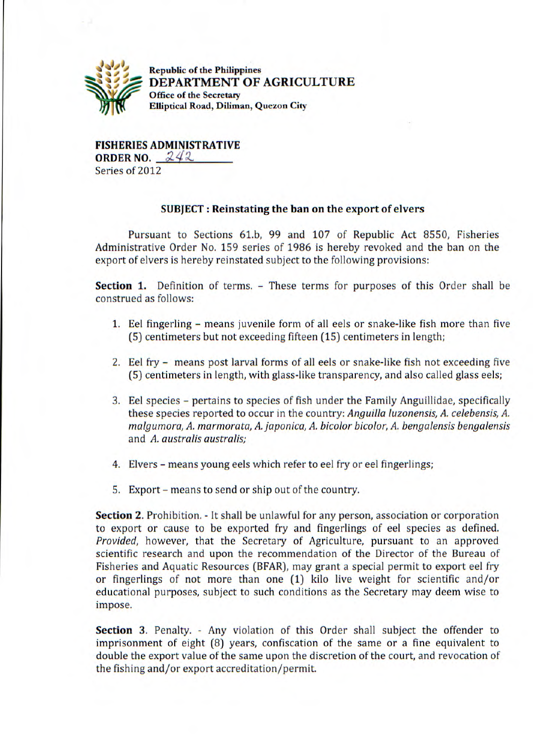

' *1* Republic of **the Philippines DEPARTMENT OF AGRICULTURE Office of the Secretary Elliptical Road, Diliman, Quezon City** 

**FISHERIES ADMINISTRATIVE ORDER NO.** 242 Series of 2012

## **SUBJECT: Reinstating the ban on the export of elvers**

Pursuant to Sections 61.b, 99 and 107 of Republic Act 8550, Fisheries Administrative Order No. 159 series of 1986 is hereby revoked and the ban on the export of elvers is hereby reinstated subject to the following provisions:

**Section 1.** Definition of terms. - These terms for purposes of this Order shall be construed as follows:

- 1. Eel fingerling means juvenile form of all eels or snake-like fish more than five (5) centimeters but not exceeding fifteen (15) centimeters in length;
- 2. Eel fry means post larval forms of all eels or snake-like fish not exceeding five (5) centimeters in length, with glass-like transparency, and also called glass eels;
- 3. Eel species pertains to species of fish under the Family Anguillidae, specifically these species reported to occur in the country: *Anguilla luzonensis, A. celebensis, A. malgumora, A. marmorata, A. japonica, A. bicolor bicolor, A. benga/ensis bengalensis*  and *A. australis australis;*
- 4. Elvers means young eels which refer to eel fry or eel fingerlings;
- S. Export means to send or ship out of the country.

**Section 2.** Prohibition. - It shall be unlawful for any person, association or corporation to export or cause to be exported fry and fingerlings of eel species as defined. *Provided,* however, that the Secretary of Agriculture, pursuant to an approved scientific research and upon the recommendation of the Director of the Bureau of Fisheries and Aquatic Resources (BFAR), may grant a special permit to export eel fry or fingerlings of not more than one (1) kilo live weight for scientific and/or educational purposes, subject to such conditions as the Secretary may deem wise to impose.

Section 3. Penalty. - Any violation of this Order shall subject the offender to imprisonment of eight (8) years, confiscation of the same or a fine equivalent to double the export value of the same upon the discretion of the court, and revocation of the fishing and/or export accreditation/permit.